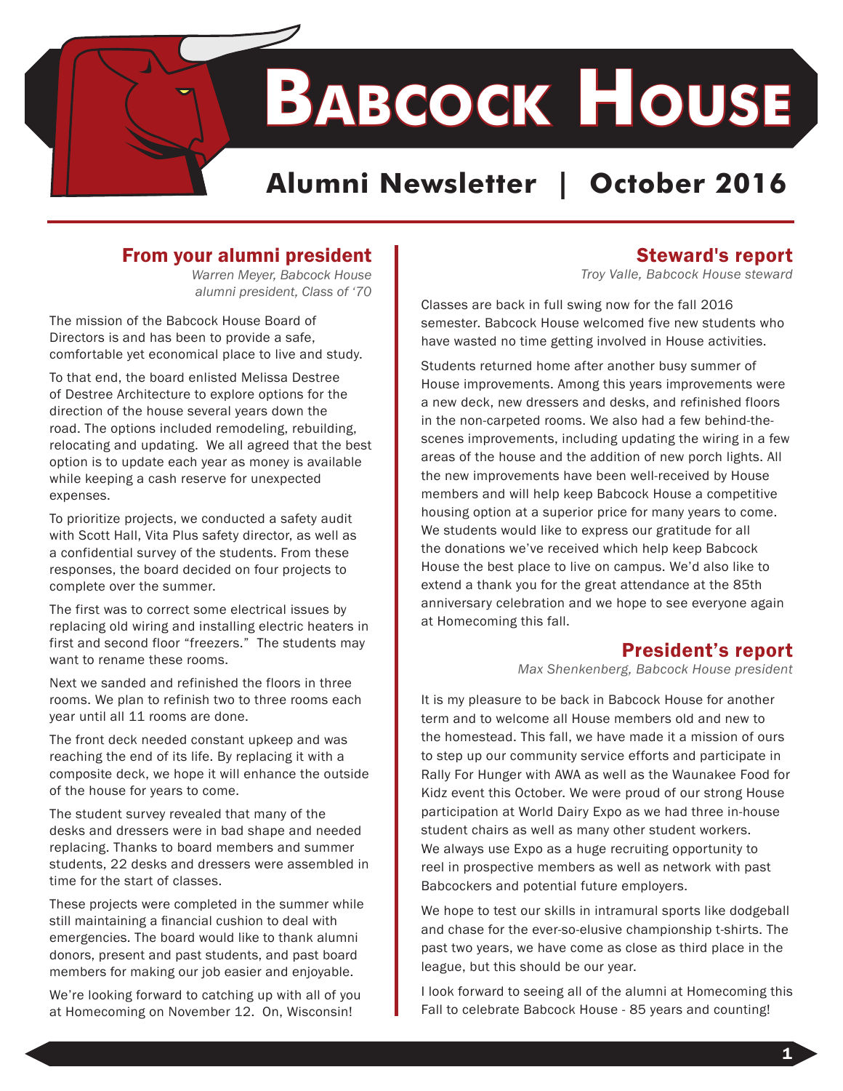**Babcock House**

# **Alumni Newsletter | October 2016**

## From your alumni president

*Warren Meyer, Babcock House alumni president, Class of '70* 

The mission of the Babcock House Board of Directors is and has been to provide a safe, comfortable yet economical place to live and study.

To that end, the board enlisted Melissa Destree of Destree Architecture to explore options for the direction of the house several years down the road. The options included remodeling, rebuilding, relocating and updating. We all agreed that the best option is to update each year as money is available while keeping a cash reserve for unexpected expenses.

To prioritize projects, we conducted a safety audit with Scott Hall, Vita Plus safety director, as well as a confidential survey of the students. From these responses, the board decided on four projects to complete over the summer.

The first was to correct some electrical issues by replacing old wiring and installing electric heaters in first and second floor "freezers." The students may want to rename these rooms.

Next we sanded and refinished the floors in three rooms. We plan to refinish two to three rooms each year until all 11 rooms are done.

The front deck needed constant upkeep and was reaching the end of its life. By replacing it with a composite deck, we hope it will enhance the outside of the house for years to come.

The student survey revealed that many of the desks and dressers were in bad shape and needed replacing. Thanks to board members and summer students, 22 desks and dressers were assembled in time for the start of classes.

These projects were completed in the summer while still maintaining a financial cushion to deal with emergencies. The board would like to thank alumni donors, present and past students, and past board members for making our job easier and enjoyable.

We're looking forward to catching up with all of you at Homecoming on November 12. On, Wisconsin!

### Steward's report

*Troy Valle, Babcock House steward*

Classes are back in full swing now for the fall 2016 semester. Babcock House welcomed five new students who have wasted no time getting involved in House activities.

Students returned home after another busy summer of House improvements. Among this years improvements were a new deck, new dressers and desks, and refinished floors in the non-carpeted rooms. We also had a few behind-thescenes improvements, including updating the wiring in a few areas of the house and the addition of new porch lights. All the new improvements have been well-received by House members and will help keep Babcock House a competitive housing option at a superior price for many years to come. We students would like to express our gratitude for all the donations we've received which help keep Babcock House the best place to live on campus. We'd also like to extend a thank you for the great attendance at the 85th anniversary celebration and we hope to see everyone again at Homecoming this fall.

## President's report

*Max Shenkenberg, Babcock House president* 

It is my pleasure to be back in Babcock House for another term and to welcome all House members old and new to the homestead. This fall, we have made it a mission of ours to step up our community service efforts and participate in Rally For Hunger with AWA as well as the Waunakee Food for Kidz event this October. We were proud of our strong House participation at World Dairy Expo as we had three in-house student chairs as well as many other student workers. We always use Expo as a huge recruiting opportunity to reel in prospective members as well as network with past Babcockers and potential future employers.

We hope to test our skills in intramural sports like dodgeball and chase for the ever-so-elusive championship t-shirts. The past two years, we have come as close as third place in the league, but this should be our year.

I look forward to seeing all of the alumni at Homecoming this Fall to celebrate Babcock House - 85 years and counting!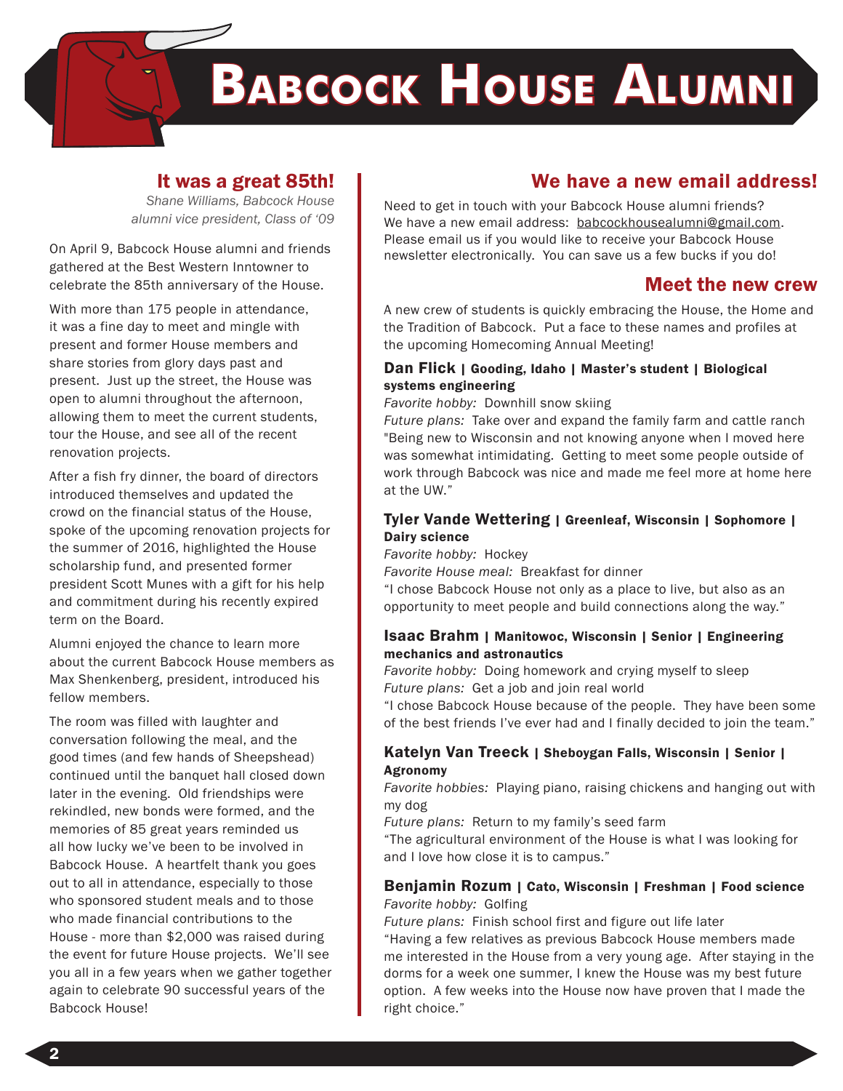# **Babcock House Alumni**

#### It was a great 85th!

*Shane Williams, Babcock House alumni vice president, Class of '09*

On April 9, Babcock House alumni and friends gathered at the Best Western Inntowner to celebrate the 85th anniversary of the House.

With more than 175 people in attendance, it was a fine day to meet and mingle with present and former House members and share stories from glory days past and present. Just up the street, the House was open to alumni throughout the afternoon, allowing them to meet the current students, tour the House, and see all of the recent renovation projects.

After a fish fry dinner, the board of directors introduced themselves and updated the crowd on the financial status of the House, spoke of the upcoming renovation projects for the summer of 2016, highlighted the House scholarship fund, and presented former president Scott Munes with a gift for his help and commitment during his recently expired term on the Board.

Alumni enjoyed the chance to learn more about the current Babcock House members as Max Shenkenberg, president, introduced his fellow members.

The room was filled with laughter and conversation following the meal, and the good times (and few hands of Sheepshead) continued until the banquet hall closed down later in the evening. Old friendships were rekindled, new bonds were formed, and the memories of 85 great years reminded us all how lucky we've been to be involved in Babcock House. A heartfelt thank you goes out to all in attendance, especially to those who sponsored student meals and to those who made financial contributions to the House - more than \$2,000 was raised during the event for future House projects. We'll see you all in a few years when we gather together again to celebrate 90 successful years of the Babcock House!

### We have a new email address!

Need to get in touch with your Babcock House alumni friends? We have a new email address: babcockhousealumni@gmail.com. Please email us if you would like to receive your Babcock House newsletter electronically. You can save us a few bucks if you do!

### Meet the new crew

A new crew of students is quickly embracing the House, the Home and the Tradition of Babcock. Put a face to these names and profiles at the upcoming Homecoming Annual Meeting!

#### Dan Flick | Gooding, Idaho | Master's student | Biological systems engineering

*Favorite hobby:* Downhill snow skiing

*Future plans:* Take over and expand the family farm and cattle ranch "Being new to Wisconsin and not knowing anyone when I moved here was somewhat intimidating. Getting to meet some people outside of work through Babcock was nice and made me feel more at home here at the UW."

#### Tyler Vande Wettering | Greenleaf, Wisconsin | Sophomore | Dairy science

*Favorite hobby:* Hockey

*Favorite House meal:* Breakfast for dinner

"I chose Babcock House not only as a place to live, but also as an opportunity to meet people and build connections along the way."

#### Isaac Brahm | Manitowoc, Wisconsin | Senior | Engineering mechanics and astronautics

*Favorite hobby:* Doing homework and crying myself to sleep *Future plans:* Get a job and join real world

"I chose Babcock House because of the people. They have been some of the best friends I've ever had and I finally decided to join the team."

#### Katelyn Van Treeck | Sheboygan Falls, Wisconsin | Senior | Agronomy

*Favorite hobbies:* Playing piano, raising chickens and hanging out with my dog

*Future plans:* Return to my family's seed farm

"The agricultural environment of the House is what I was looking for and I love how close it is to campus."

#### Benjamin Rozum | Cato, Wisconsin | Freshman | Food science *Favorite hobby:* Golfing

*Future plans:* Finish school first and figure out life later

"Having a few relatives as previous Babcock House members made me interested in the House from a very young age. After staying in the dorms for a week one summer, I knew the House was my best future option. A few weeks into the House now have proven that I made the right choice."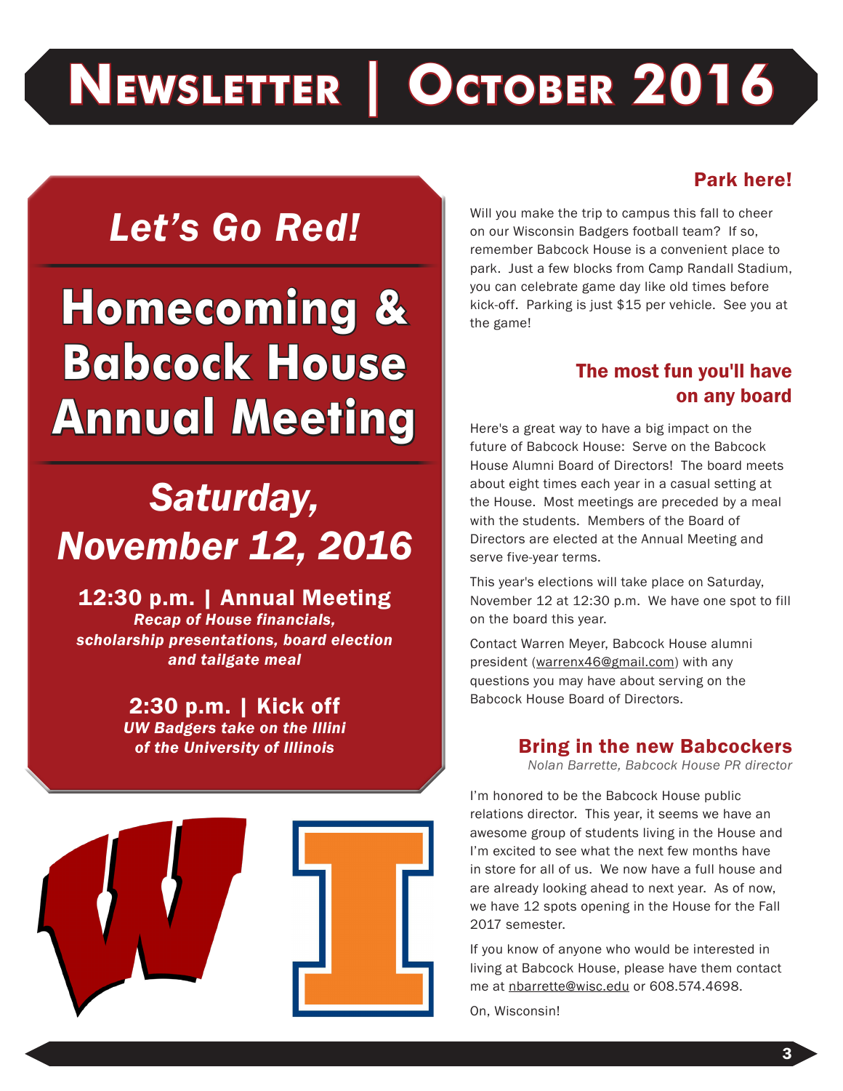# **Newsletter | October 2016**

# *Let's Go Red!*

# **Homecoming & Babcock House Annual Meeting**

# *Saturday, November 12, 2016*

12:30 p.m. | Annual Meeting *Recap of House financials, scholarship presentations, board election and tailgate meal*

> 2:30 p.m. | Kick off *UW Badgers take on the Illini of the University of Illinois*



# Park here!

Will you make the trip to campus this fall to cheer on our Wisconsin Badgers football team? If so, remember Babcock House is a convenient place to park. Just a few blocks from Camp Randall Stadium, you can celebrate game day like old times before kick-off. Parking is just \$15 per vehicle. See you at the game!

# The most fun you'll have on any board

Here's a great way to have a big impact on the future of Babcock House: Serve on the Babcock House Alumni Board of Directors! The board meets about eight times each year in a casual setting at the House. Most meetings are preceded by a meal with the students. Members of the Board of Directors are elected at the Annual Meeting and serve five-year terms.

This year's elections will take place on Saturday, November 12 at 12:30 p.m. We have one spot to fill on the board this year.

Contact Warren Meyer, Babcock House alumni president (warrenx46@gmail.com) with any questions you may have about serving on the Babcock House Board of Directors.

#### Bring in the new Babcockers

*Nolan Barrette, Babcock House PR director* 

I'm honored to be the Babcock House public relations director. This year, it seems we have an awesome group of students living in the House and I'm excited to see what the next few months have in store for all of us. We now have a full house and are already looking ahead to next year. As of now, we have 12 spots opening in the House for the Fall 2017 semester.

If you know of anyone who would be interested in living at Babcock House, please have them contact me at nbarrette@wisc.edu or 608.574.4698.

On, Wisconsin!